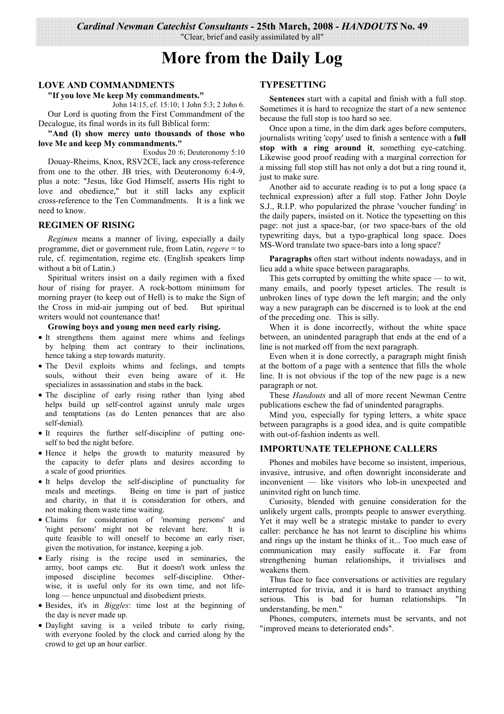"Clear, brief and easily assimilated by all"

# **More from the Daily Log**

## **LOVE AND COMMANDMENTS**

## "If you love Me keep My commandments."

John 14:15, cf. 15:10; 1 John 5:3; 2 John 6. Our Lord is quoting from the First Commandment of the Decalogue, its final words in its full Biblical form:

## "And (I) show mercy unto thousands of those who love Me and keep My commandments."

Exodus 20:6; Deuteronomy 5:10 Douay-Rheims, Knox, RSV2CE, lack any cross-reference from one to the other. JB tries, with Deuteronomy 6:4-9, plus a note: "Jesus, like God Himself, asserts His right to love and obedience," but it still lacks any explicit cross-reference to the Ten Commandments. It is a link we need to know.

## **REGIMEN OF RISING**

Regimen means a manner of living, especially a daily programme, diet or government rule, from Latin, regere = to rule, cf. regimentation, regime etc. (English speakers limp without a bit of Latin.)

Spiritual writers insist on a daily regimen with a fixed hour of rising for prayer. A rock-bottom minimum for morning prayer (to keep out of Hell) is to make the Sign of the Cross in mid-air jumping out of bed. But spiritual writers would not countenance that!

#### Growing boys and young men need early rising.

- It strengthens them against mere whims and feelings by helping them act contrary to their inclinations, hence taking a step towards maturity.
- · The Devil exploits whims and feelings, and tempts souls, without their even being aware of it. He specializes in assassination and stabs in the back.
- The discipline of early rising rather than lying abed helps build up self-control against unruly male urges and temptations (as do Lenten penances that are also self-denial).
- It requires the further self-discipline of putting oneself to bed the night before.
- · Hence it helps the growth to maturity measured by the capacity to defer plans and desires according to a scale of good priorities.
- It helps develop the self-discipline of punctuality for meals and meetings. Being on time is part of justice and charity, in that it is consideration for others, and not making them waste time waiting.
- · Claims for consideration of 'morning persons' and 'night persons' might not be relevant here. It is quite feasible to will oneself to become an early riser, given the motivation, for instance, keeping a job.
- · Early rising is the recipe used in seminaries, the But it doesn't work unless the army, boot camps etc. imposed discipline becomes self-discipline. Otherwise, it is useful only for its own time, and not lifelong — hence unpunctual and disobedient priests.
- · Besides, it's in *Biggles*: time lost at the beginning of the day is never made up.
- · Daylight saving is a veiled tribute to early rising, with everyone fooled by the clock and carried along by the crowd to get up an hour earlier.

## **TYPESETTING**

Sentences start with a capital and finish with a full stop. Sometimes it is hard to recognize the start of a new sentence because the full stop is too hard so see.

Once upon a time, in the dim dark ages before computers, journalists writing 'copy' used to finish a sentence with a full stop with a ring around it, something eye-catching. Likewise good proof reading with a marginal correction for a missing full stop still has not only a dot but a ring round it, just to make sure.

Another aid to accurate reading is to put a long space (a technical expression) after a full stop. Father John Doyle S.J., R.I.P. who popularized the phrase 'voucher funding' in the daily papers, insisted on it. Notice the typesetting on this page: not just a space-bar, (or two space-bars of the old typewriting days, but a typo-graphical long space. Does MS-Word translate two space-bars into a long space?

Paragraphs often start without indents nowadays, and in lieu add a white space between paragaraphs.

This gets corrupted by omitting the white space  $-$  to wit, many emails, and poorly typeset articles. The result is unbroken lines of type down the left margin; and the only way a new paragraph can be discerned is to look at the end of the preceding one. This is silly.

When it is done incorrectly, without the white space between, an unindented paragraph that ends at the end of a line is not marked off from the next paragraph.

Even when it is done correctly, a paragraph might finish at the bottom of a page with a sentence that fills the whole line. It is not obvious if the top of the new page is a new paragraph or not.

These *Handouts* and all of more recent Newman Centre publications eschew the fad of unindented paragraphs.

Mind you, especially for typing letters, a white space between paragraphs is a good idea, and is quite compatible with out-of-fashion indents as well.

## **IMPORTUNATE TELEPHONE CALLERS**

Phones and mobiles have become so insistent, imperious, invasive, intrusive, and often downright inconsiderate and inconvenient — like visitors who lob-in unexpected and uninvited right on lunch time.

Curiosity, blended with genuine consideration for the unlikely urgent calls, prompts people to answer everything. Yet it may well be a strategic mistake to pander to every caller: perchance he has not learnt to discipline his whims and rings up the instant he thinks of it... Too much ease of communication may easily suffocate it. Far from strengthening human relationships, it trivialises and weakens them.

Thus face to face conversations or activities are regulary interrupted for trivia, and it is hard to transact anything serious. This is bad for human relationships. "In understanding, be men."

Phones, computers, internets must be servants, and not "improved means to deteriorated ends".